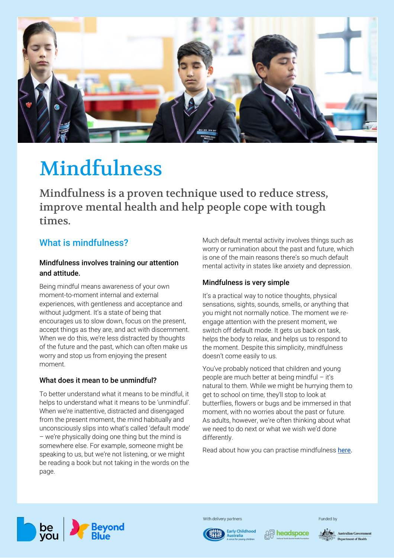

# Mindfulness

Mindfulness is a proven technique used to reduce stress, improve mental health and help people cope with tough times.

# What is mindfulness?

# Mindfulness involves training our attention and attitude.

Being mindful means awareness of your own moment-to-moment internal and external experiences, with gentleness and acceptance and without judgment. It's a state of being that encourages us to slow down, focus on the present, accept things as they are, and act with discernment. When we do this, we're less distracted by thoughts of the future and the past, which can often make us worry and stop us from enjoying the present moment.

# What does it mean to be unmindful?

To better understand what it means to be mindful, it helps to understand what it means to be 'unmindful'. When we're inattentive, distracted and disengaged from the present moment, the mind habitually and unconsciously slips into what's called 'default mode' – we're physically doing one thing but the mind is somewhere else. For example, someone might be speaking to us, but we're not listening, or we might be reading a book but not taking in the words on the page.

Much default mental activity involves things such as worry or rumination about the past and future, which is one of the main reasons there's so much default mental activity in states like anxiety and depression.

# Mindfulness is very simple

It's a practical way to notice thoughts, physical sensations, sights, sounds, smells, or anything that you might not normally notice. The moment we reengage attention with the present moment, we switch off default mode. It gets us back on task, helps the body to relax, and helps us to respond to the moment. Despite this simplicity, mindfulness doesn't come easily to us.

You've probably noticed that children and young people are much better at being mindful – it's natural to them. While we might be hurrying them to get to school on time, they'll stop to look at butterflies, flowers or bugs and be immersed in that moment, with no worries about the past or future. As adults, however, we're often thinking about what we need to do next or what we wish we'd done differently.

Read about how you can practise mindfulness [here.](https://beyou.edu.au/fact-sheets/wellbeing/how-to-practise-mindfulness)



With delivery partners





Funded by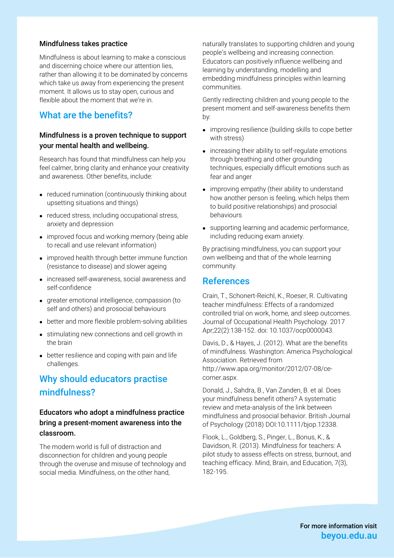#### Mindfulness takes practice

Mindfulness is about learning to make a conscious and discerning choice where our attention lies, rather than allowing it to be dominated by concerns which take us away from experiencing the present moment. It allows us to stay open, curious and flexible about the moment that we're in.

# What are the benefits?

### Mindfulness is a proven technique to support your mental health and wellbeing.

Research has found that mindfulness can help you feel calmer, bring clarity and enhance your creativity and awareness. Other benefits, include:

- reduced rumination (continuously thinking about upsetting situations and things)
- reduced stress, including occupational stress, anxiety and depression
- improved focus and working memory (being able to recall and use relevant information)
- improved health through better immune function (resistance to disease) and slower ageing
- increased self-awareness, social awareness and self-confidence
- greater emotional intelligence, compassion (to self and others) and prosocial behaviours
- better and more flexible problem-solving abilities
- stimulating new connections and cell growth in the brain
- better resilience and coping with pain and life challenges.

# Why should educators practise mindfulness?

# Educators who adopt a mindfulness practice bring a present-moment awareness into the classroom.

The modern world is full of distraction and disconnection for children and young people through the overuse and misuse of technology and social media. Mindfulness, on the other hand,

naturally translates to supporting children and young people's wellbeing and increasing connection. Educators can positively influence wellbeing and learning by understanding, modelling and embedding mindfulness principles within learning communities.

Gently redirecting children and young people to the present moment and self-awareness benefits them by:

- improving resilience (building skills to cope better with stress)
- increasing their ability to self-regulate emotions through breathing and other grounding techniques, especially difficult emotions such as fear and anger
- improving empathy (their ability to understand how another person is feeling, which helps them to build positive relationships) and prosocial behaviours
- supporting learning and academic performance, including reducing exam anxiety.

By practising mindfulness, you can support your own wellbeing and that of the whole learning community.

#### References

Crain, T., Schonert-Reichl, K., Roeser, R. Cultivating teacher mindfulness: Effects of a randomized controlled trial on work, home, and sleep outcomes. Journal of Occupational Health Psychology. 2017 Apr;22(2):138-152. doi: 10.1037/ocp0000043.

Davis, D., & Hayes, J. (2012). What are the benefits of mindfulness. Washington: America Psychological Association. Retrieved from http://www.apa.org/monitor/2012/07-08/cecorner.aspx.

Donald, J., Sahdra, B., Van Zanden, B. et al. Does your mindfulness benefit others? A systematic review and meta-analysis of the link between mindfulness and prosocial behavior. British Journal of Psychology (2018) DOI:10.1111/bjop.12338.

Flook, L., Goldberg, S., Pinger, L., Bonus, K., & Davidson, R. (2013). Mindfulness for teachers: A pilot study to assess effects on stress, burnout, and teaching efficacy. Mind, Brain, and Education, 7(3), 182-195.

> For more information visit beyou.edu.au